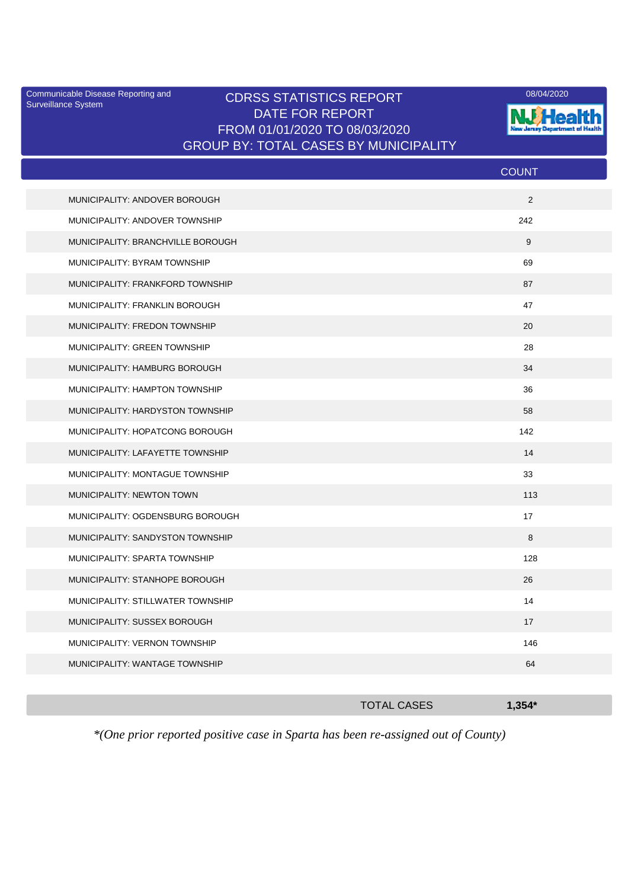Surveillance System

## Communicable Disease Reporting and CDRSS STATISTICS REPORT <sup>08/04/2020</sup><br>Surveillance System CDRSS STATISTICS REPORT DATE FOR REPORT FROM 01/01/2020 TO 08/03/2020 GROUP BY: TOTAL CASES BY MUNICIPALITY



|                                   | <b>COUNT</b> |
|-----------------------------------|--------------|
| MUNICIPALITY: ANDOVER BOROUGH     | 2            |
| MUNICIPALITY: ANDOVER TOWNSHIP    | 242          |
| MUNICIPALITY: BRANCHVILLE BOROUGH | 9            |
| MUNICIPALITY: BYRAM TOWNSHIP      | 69           |
| MUNICIPALITY: FRANKFORD TOWNSHIP  | 87           |
| MUNICIPALITY: FRANKLIN BOROUGH    | 47           |
| MUNICIPALITY: FREDON TOWNSHIP     | 20           |
| MUNICIPALITY: GREEN TOWNSHIP      | 28           |
| MUNICIPALITY: HAMBURG BOROUGH     | 34           |
| MUNICIPALITY: HAMPTON TOWNSHIP    | 36           |
| MUNICIPALITY: HARDYSTON TOWNSHIP  | 58           |
| MUNICIPALITY: HOPATCONG BOROUGH   | 142          |
| MUNICIPALITY: LAFAYETTE TOWNSHIP  | 14           |
| MUNICIPALITY: MONTAGUE TOWNSHIP   | 33           |
| MUNICIPALITY: NEWTON TOWN         | 113          |
| MUNICIPALITY: OGDENSBURG BOROUGH  | 17           |
| MUNICIPALITY: SANDYSTON TOWNSHIP  | 8            |
| MUNICIPALITY: SPARTA TOWNSHIP     | 128          |
| MUNICIPALITY: STANHOPE BOROUGH    | 26           |
| MUNICIPALITY: STILLWATER TOWNSHIP | 14           |
| MUNICIPALITY: SUSSEX BOROUGH      | 17           |
| MUNICIPALITY: VERNON TOWNSHIP     | 146          |
| MUNICIPALITY: WANTAGE TOWNSHIP    | 64           |
|                                   |              |

|  |  |                                                                                 |      | <b>TOTAL CASES</b> |  |        | $1.354*$ |
|--|--|---------------------------------------------------------------------------------|------|--------------------|--|--------|----------|
|  |  | the contract of the contract of the contract of the contract of the contract of | ____ |                    |  | ______ |          |

*\*(One prior reported positive case in Sparta has been re-assigned out of County)*